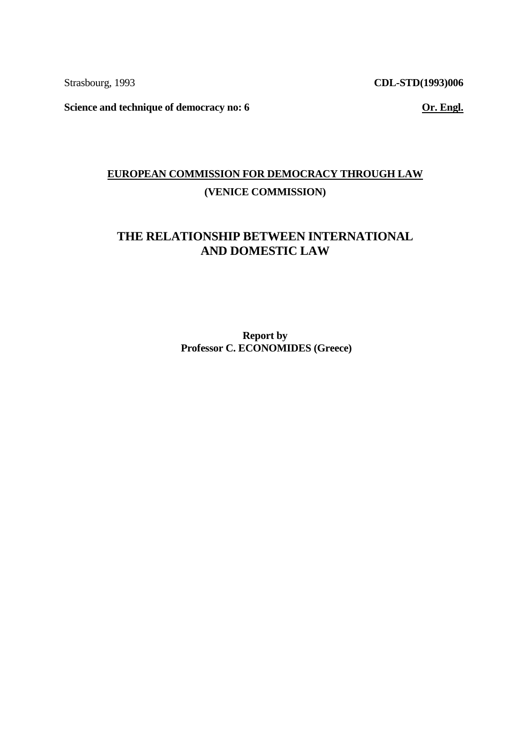Strasbourg, 1993

**CDL-STD(1993)006** 

**Science and technique of democracy no: 6** 

**Or. Engl.** 

# **EUROPEAN COMMISSION FOR DEMOCRACY THROUGH LAW (VENICE COMMISSION)**

# **THE RELATIONSHIP BETWEEN INTERNATIONAL AND DOMESTIC LAW**

**Report by Professor C. ECONOMIDES (Greece)**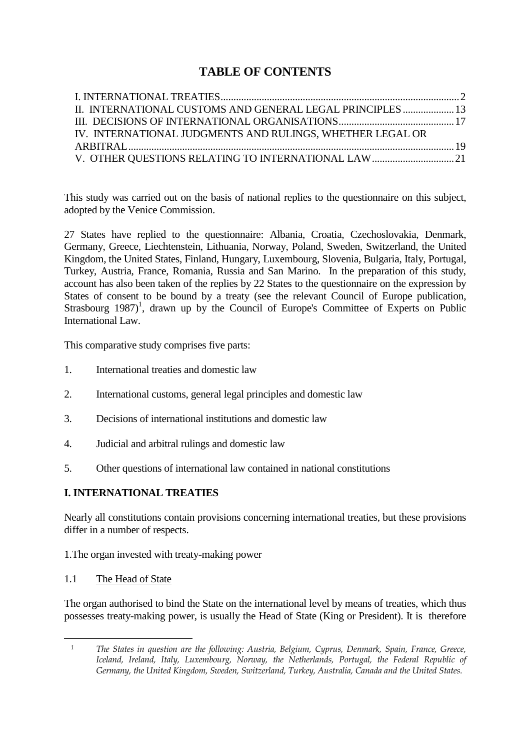# **TABLE OF CONTENTS**

| II. INTERNATIONAL CUSTOMS AND GENERAL LEGAL PRINCIPLES  13 |  |
|------------------------------------------------------------|--|
|                                                            |  |
| IV. INTERNATIONAL JUDGMENTS AND RULINGS, WHETHER LEGAL OR  |  |
|                                                            |  |
|                                                            |  |

This study was carried out on the basis of national replies to the questionnaire on this subject, adopted by the Venice Commission.

27 States have replied to the questionnaire: Albania, Croatia, Czechoslovakia, Denmark, Germany, Greece, Liechtenstein, Lithuania, Norway, Poland, Sweden, Switzerland, the United Kingdom, the United States, Finland, Hungary, Luxembourg, Slovenia, Bulgaria, Italy, Portugal, Turkey, Austria, France, Romania, Russia and San Marino. In the preparation of this study, account has also been taken of the replies by 22 States to the questionnaire on the expression by States of consent to be bound by a treaty (see the relevant Council of Europe publication, Strasbourg  $1987$ <sup>1</sup>, drawn up by the Council of Europe's Committee of Experts on Public International Law.

This comparative study comprises five parts:

- 1. International treaties and domestic law
- 2. International customs, general legal principles and domestic law
- 3. Decisions of international institutions and domestic law
- 4. Judicial and arbitral rulings and domestic law
- 5. Other questions of international law contained in national constitutions

# **I. INTERNATIONAL TREATIES**

Nearly all constitutions contain provisions concerning international treaties, but these provisions differ in a number of respects.

1.The organ invested with treaty-making power

#### 1.1 The Head of State

 $\overline{a}$ 

The organ authorised to bind the State on the international level by means of treaties, which thus possesses treaty-making power, is usually the Head of State (King or President). It is therefore

<sup>1</sup> The States in question are the following: Austria, Belgium, Cyprus, Denmark, Spain, France, Greece, Iceland, Ireland, Italy, Luxembourg, Norway, the Netherlands, Portugal, the Federal Republic of Germany, the United Kingdom, Sweden, Switzerland, Turkey, Australia, Canada and the United States.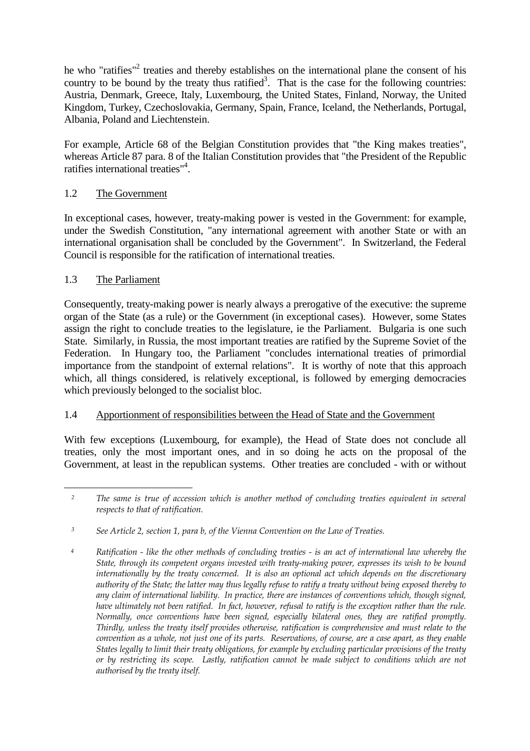he who "ratifies"<sup>2</sup> treaties and thereby establishes on the international plane the consent of his country to be bound by the treaty thus ratified<sup>3</sup>. That is the case for the following countries: Austria, Denmark, Greece, Italy, Luxembourg, the United States, Finland, Norway, the United Kingdom, Turkey, Czechoslovakia, Germany, Spain, France, Iceland, the Netherlands, Portugal, Albania, Poland and Liechtenstein.

For example, Article 68 of the Belgian Constitution provides that "the King makes treaties", whereas Article 87 para. 8 of the Italian Constitution provides that "the President of the Republic ratifies international treaties"<sup>4</sup> .

## 1.2 The Government

In exceptional cases, however, treaty-making power is vested in the Government: for example, under the Swedish Constitution, "any international agreement with another State or with an international organisation shall be concluded by the Government". In Switzerland, the Federal Council is responsible for the ratification of international treaties.

#### 1.3 The Parliament

Consequently, treaty-making power is nearly always a prerogative of the executive: the supreme organ of the State (as a rule) or the Government (in exceptional cases). However, some States assign the right to conclude treaties to the legislature, ie the Parliament. Bulgaria is one such State. Similarly, in Russia, the most important treaties are ratified by the Supreme Soviet of the Federation. In Hungary too, the Parliament "concludes international treaties of primordial importance from the standpoint of external relations". It is worthy of note that this approach which, all things considered, is relatively exceptional, is followed by emerging democracies which previously belonged to the socialist bloc.

#### 1.4 Apportionment of responsibilities between the Head of State and the Government

With few exceptions (Luxembourg, for example), the Head of State does not conclude all treaties, only the most important ones, and in so doing he acts on the proposal of the Government, at least in the republican systems. Other treaties are concluded - with or without

 $\overline{a}$ <sup>2</sup> The same is true of accession which is another method of concluding treaties equivalent in several respects to that of ratification.

<sup>3</sup> See Article 2, section 1, para b, of the Vienna Convention on the Law of Treaties.

<sup>4</sup> Ratification - like the other methods of concluding treaties - is an act of international law whereby the State, through its competent organs invested with treaty-making power, expresses its wish to be bound internationally by the treaty concerned. It is also an optional act which depends on the discretionary authority of the State; the latter may thus legally refuse to ratify a treaty without being exposed thereby to any claim of international liability. In practice, there are instances of conventions which, though signed, have ultimately not been ratified. In fact, however, refusal to ratify is the exception rather than the rule. Normally, once conventions have been signed, especially bilateral ones, they are ratified promptly. Thirdly, unless the treaty itself provides otherwise, ratification is comprehensive and must relate to the convention as a whole, not just one of its parts. Reservations, of course, are a case apart, as they enable States legally to limit their treaty obligations, for example by excluding particular provisions of the treaty or by restricting its scope. Lastly, ratification cannot be made subject to conditions which are not authorised by the treaty itself.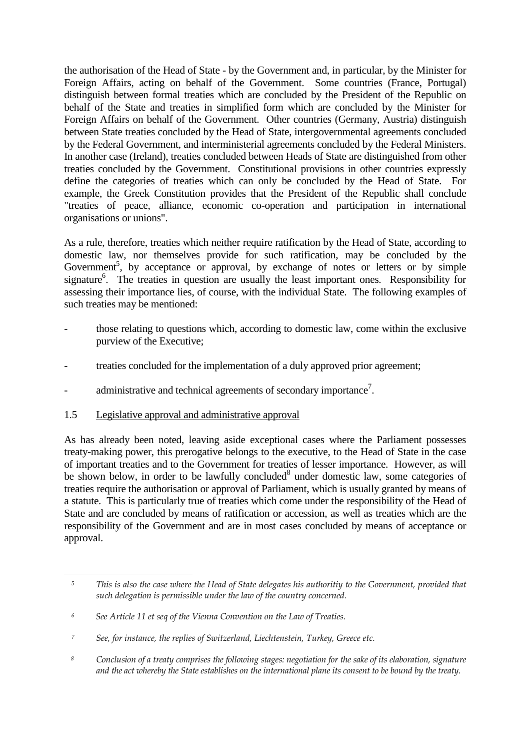the authorisation of the Head of State - by the Government and, in particular, by the Minister for Foreign Affairs, acting on behalf of the Government. Some countries (France, Portugal) distinguish between formal treaties which are concluded by the President of the Republic on behalf of the State and treaties in simplified form which are concluded by the Minister for Foreign Affairs on behalf of the Government. Other countries (Germany, Austria) distinguish between State treaties concluded by the Head of State, intergovernmental agreements concluded by the Federal Government, and interministerial agreements concluded by the Federal Ministers. In another case (Ireland), treaties concluded between Heads of State are distinguished from other treaties concluded by the Government. Constitutional provisions in other countries expressly define the categories of treaties which can only be concluded by the Head of State. For example, the Greek Constitution provides that the President of the Republic shall conclude "treaties of peace, alliance, economic co-operation and participation in international organisations or unions".

As a rule, therefore, treaties which neither require ratification by the Head of State, according to domestic law, nor themselves provide for such ratification, may be concluded by the Government<sup>5</sup>, by acceptance or approval, by exchange of notes or letters or by simple signature<sup>6</sup>. The treaties in question are usually the least important ones. Responsibility for assessing their importance lies, of course, with the individual State. The following examples of such treaties may be mentioned:

- those relating to questions which, according to domestic law, come within the exclusive purview of the Executive;
- treaties concluded for the implementation of a duly approved prior agreement;
- administrative and technical agreements of secondary importance<sup>7</sup>.

#### 1.5 Legislative approval and administrative approval

 $\overline{a}$ 

As has already been noted, leaving aside exceptional cases where the Parliament possesses treaty-making power, this prerogative belongs to the executive, to the Head of State in the case of important treaties and to the Government for treaties of lesser importance. However, as will be shown below, in order to be lawfully concluded<sup>8</sup> under domestic law, some categories of treaties require the authorisation or approval of Parliament, which is usually granted by means of a statute. This is particularly true of treaties which come under the responsibility of the Head of State and are concluded by means of ratification or accession, as well as treaties which are the responsibility of the Government and are in most cases concluded by means of acceptance or approval.

<sup>5</sup> This is also the case where the Head of State delegates his authoritiy to the Government, provided that such delegation is permissible under the law of the country concerned.

<sup>6</sup> See Article 11 et seq of the Vienna Convention on the Law of Treaties.

<sup>7</sup> See, for instance, the replies of Switzerland, Liechtenstein, Turkey, Greece etc.

<sup>8</sup> Conclusion of a treaty comprises the following stages: negotiation for the sake of its elaboration, signature and the act whereby the State establishes on the international plane its consent to be bound by the treaty.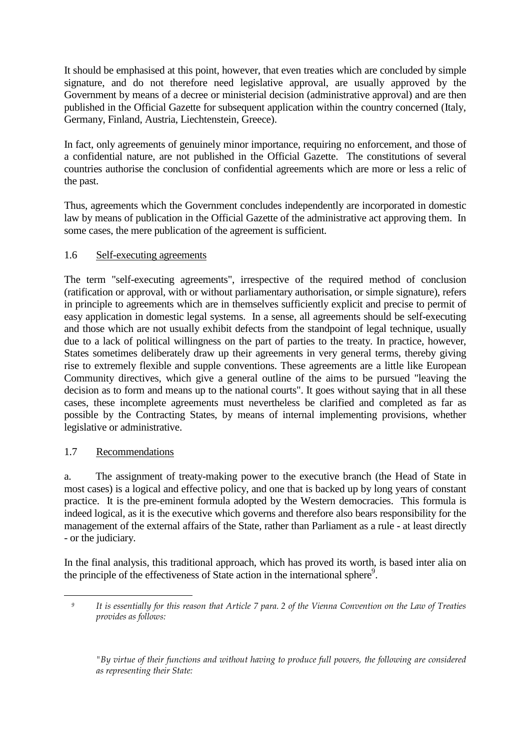It should be emphasised at this point, however, that even treaties which are concluded by simple signature, and do not therefore need legislative approval, are usually approved by the Government by means of a decree or ministerial decision (administrative approval) and are then published in the Official Gazette for subsequent application within the country concerned (Italy, Germany, Finland, Austria, Liechtenstein, Greece).

In fact, only agreements of genuinely minor importance, requiring no enforcement, and those of a confidential nature, are not published in the Official Gazette. The constitutions of several countries authorise the conclusion of confidential agreements which are more or less a relic of the past.

Thus, agreements which the Government concludes independently are incorporated in domestic law by means of publication in the Official Gazette of the administrative act approving them. In some cases, the mere publication of the agreement is sufficient.

## 1.6 Self-executing agreements

The term "self-executing agreements", irrespective of the required method of conclusion (ratification or approval, with or without parliamentary authorisation, or simple signature), refers in principle to agreements which are in themselves sufficiently explicit and precise to permit of easy application in domestic legal systems. In a sense, all agreements should be self-executing and those which are not usually exhibit defects from the standpoint of legal technique, usually due to a lack of political willingness on the part of parties to the treaty. In practice, however, States sometimes deliberately draw up their agreements in very general terms, thereby giving rise to extremely flexible and supple conventions. These agreements are a little like European Community directives, which give a general outline of the aims to be pursued "leaving the decision as to form and means up to the national courts". It goes without saying that in all these cases, these incomplete agreements must nevertheless be clarified and completed as far as possible by the Contracting States, by means of internal implementing provisions, whether legislative or administrative.

#### 1.7 Recommendations

a. The assignment of treaty-making power to the executive branch (the Head of State in most cases) is a logical and effective policy, and one that is backed up by long years of constant practice. It is the pre-eminent formula adopted by the Western democracies. This formula is indeed logical, as it is the executive which governs and therefore also bears responsibility for the management of the external affairs of the State, rather than Parliament as a rule - at least directly - or the judiciary.

In the final analysis, this traditional approach, which has proved its worth, is based inter alia on the principle of the effectiveness of State action in the international sphere<sup>9</sup>.

 $\overline{a}$ <sup>9</sup> It is essentially for this reason that Article 7 para. 2 of the Vienna Convention on the Law of Treaties provides as follows:

 <sup>&</sup>quot;By virtue of their functions and without having to produce full powers, the following are considered as representing their State: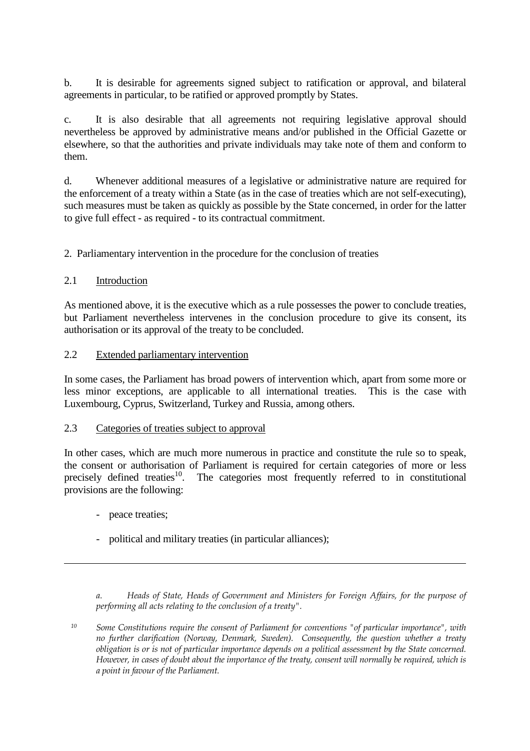b. It is desirable for agreements signed subject to ratification or approval, and bilateral agreements in particular, to be ratified or approved promptly by States.

c. It is also desirable that all agreements not requiring legislative approval should nevertheless be approved by administrative means and/or published in the Official Gazette or elsewhere, so that the authorities and private individuals may take note of them and conform to them.

d. Whenever additional measures of a legislative or administrative nature are required for the enforcement of a treaty within a State (as in the case of treaties which are not self-executing), such measures must be taken as quickly as possible by the State concerned, in order for the latter to give full effect - as required - to its contractual commitment.

2. Parliamentary intervention in the procedure for the conclusion of treaties

## 2.1 Introduction

As mentioned above, it is the executive which as a rule possesses the power to conclude treaties, but Parliament nevertheless intervenes in the conclusion procedure to give its consent, its authorisation or its approval of the treaty to be concluded.

#### 2.2 Extended parliamentary intervention

In some cases, the Parliament has broad powers of intervention which, apart from some more or less minor exceptions, are applicable to all international treaties. This is the case with Luxembourg, Cyprus, Switzerland, Turkey and Russia, among others.

#### 2.3 Categories of treaties subject to approval

In other cases, which are much more numerous in practice and constitute the rule so to speak, the consent or authorisation of Parliament is required for certain categories of more or less<br>precisely defined treaties<sup>10</sup>. The categories most frequently referred to in constitutional The categories most frequently referred to in constitutional provisions are the following:

- peace treaties;

 $\overline{a}$ 

- political and military treaties (in particular alliances);

 a. Heads of State, Heads of Government and Ministers for Foreign Affairs, for the purpose of performing all acts relating to the conclusion of a treaty".

<sup>10</sup> Some Constitutions require the consent of Parliament for conventions "of particular importance", with no further clarification (Norway, Denmark, Sweden). Consequently, the question whether a treaty obligation is or is not of particular importance depends on a political assessment by the State concerned. However, in cases of doubt about the importance of the treaty, consent will normally be required, which is a point in favour of the Parliament.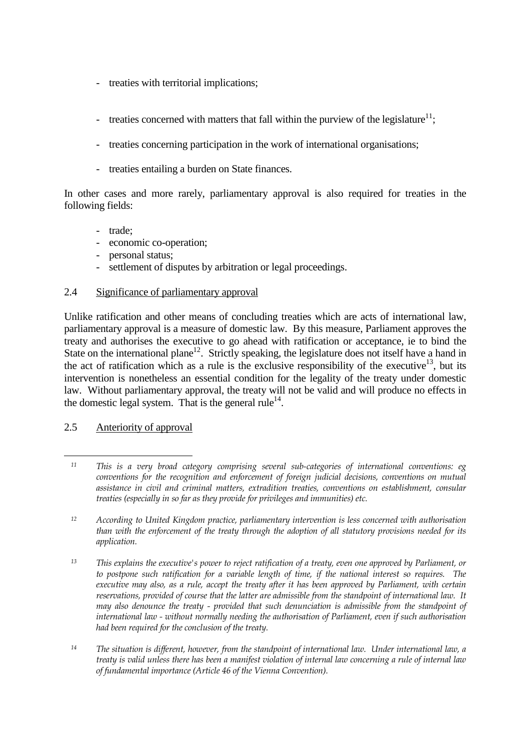- treaties with territorial implications;
- treaties concerned with matters that fall within the purview of the legislature<sup>11</sup>;
	- treaties concerning participation in the work of international organisations;
	- treaties entailing a burden on State finances.

In other cases and more rarely, parliamentary approval is also required for treaties in the following fields:

- trade;
- economic co-operation;
- personal status;
- settlement of disputes by arbitration or legal proceedings.

#### 2.4 Significance of parliamentary approval

Unlike ratification and other means of concluding treaties which are acts of international law, parliamentary approval is a measure of domestic law. By this measure, Parliament approves the treaty and authorises the executive to go ahead with ratification or acceptance, ie to bind the State on the international plane<sup>12</sup>. Strictly speaking, the legislature does not itself have a hand in the act of ratification which as a rule is the exclusive responsibility of the executive<sup>13</sup>, but its intervention is nonetheless an essential condition for the legality of the treaty under domestic law. Without parliamentary approval, the treaty will not be valid and will produce no effects in the domestic legal system. That is the general rule<sup>14</sup>.

#### 2.5 Anteriority of approval

 $\overline{a}$ <sup>11</sup> This is a very broad category comprising several sub-categories of international conventions: eg conventions for the recognition and enforcement of foreign judicial decisions, conventions on mutual assistance in civil and criminal matters, extradition treaties, conventions on establishment, consular treaties (especially in so far as they provide for privileges and immunities) etc.

<sup>12</sup> According to United Kingdom practice, parliamentary intervention is less concerned with authorisation than with the enforcement of the treaty through the adoption of all statutory provisions needed for its application.

<sup>13</sup> This explains the executive's power to reject ratification of a treaty, even one approved by Parliament, or to postpone such ratification for a variable length of time, if the national interest so requires. The executive may also, as a rule, accept the treaty after it has been approved by Parliament, with certain reservations, provided of course that the latter are admissible from the standpoint of international law. It may also denounce the treaty - provided that such denunciation is admissible from the standpoint of international law - without normally needing the authorisation of Parliament, even if such authorisation had been required for the conclusion of the treaty.

<sup>&</sup>lt;sup>14</sup> The situation is different, however, from the standpoint of international law. Under international law, a treaty is valid unless there has been a manifest violation of internal law concerning a rule of internal law of fundamental importance (Article 46 of the Vienna Convention).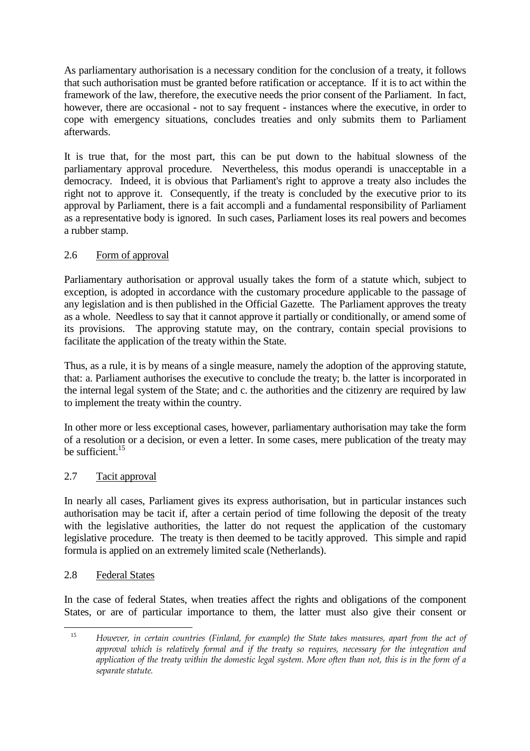As parliamentary authorisation is a necessary condition for the conclusion of a treaty, it follows that such authorisation must be granted before ratification or acceptance. If it is to act within the framework of the law, therefore, the executive needs the prior consent of the Parliament. In fact, however, there are occasional - not to say frequent - instances where the executive, in order to cope with emergency situations, concludes treaties and only submits them to Parliament afterwards.

It is true that, for the most part, this can be put down to the habitual slowness of the parliamentary approval procedure. Nevertheless, this modus operandi is unacceptable in a democracy. Indeed, it is obvious that Parliament's right to approve a treaty also includes the right not to approve it. Consequently, if the treaty is concluded by the executive prior to its approval by Parliament, there is a fait accompli and a fundamental responsibility of Parliament as a representative body is ignored. In such cases, Parliament loses its real powers and becomes a rubber stamp.

# 2.6 Form of approval

Parliamentary authorisation or approval usually takes the form of a statute which, subject to exception, is adopted in accordance with the customary procedure applicable to the passage of any legislation and is then published in the Official Gazette. The Parliament approves the treaty as a whole. Needless to say that it cannot approve it partially or conditionally, or amend some of its provisions. The approving statute may, on the contrary, contain special provisions to facilitate the application of the treaty within the State.

Thus, as a rule, it is by means of a single measure, namely the adoption of the approving statute, that: a. Parliament authorises the executive to conclude the treaty; b. the latter is incorporated in the internal legal system of the State; and c. the authorities and the citizenry are required by law to implement the treaty within the country.

In other more or less exceptional cases, however, parliamentary authorisation may take the form of a resolution or a decision, or even a letter. In some cases, mere publication of the treaty may be sufficient.<sup>15</sup>

#### 2.7 Tacit approval

In nearly all cases, Parliament gives its express authorisation, but in particular instances such authorisation may be tacit if, after a certain period of time following the deposit of the treaty with the legislative authorities, the latter do not request the application of the customary legislative procedure. The treaty is then deemed to be tacitly approved. This simple and rapid formula is applied on an extremely limited scale (Netherlands).

#### 2.8 Federal States

In the case of federal States, when treaties affect the rights and obligations of the component States, or are of particular importance to them, the latter must also give their consent or

 $\overline{a}$ <sup>15</sup> However, in certain countries (Finland, for example) the State takes measures, apart from the act of approval which is relatively formal and if the treaty so requires, necessary for the integration and application of the treaty within the domestic legal system. More often than not, this is in the form of a separate statute.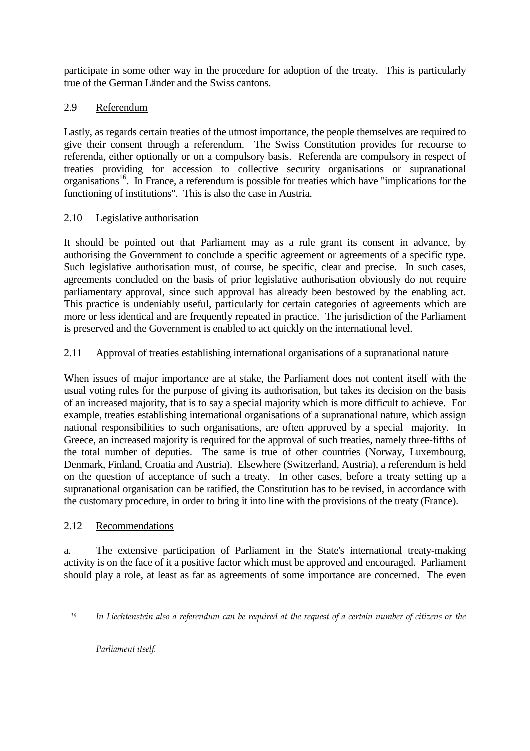participate in some other way in the procedure for adoption of the treaty. This is particularly true of the German Länder and the Swiss cantons.

# 2.9 Referendum

Lastly, as regards certain treaties of the utmost importance, the people themselves are required to give their consent through a referendum. The Swiss Constitution provides for recourse to referenda, either optionally or on a compulsory basis. Referenda are compulsory in respect of treaties providing for accession to collective security organisations or supranational organisations<sup>16</sup>. In France, a referendum is possible for treaties which have "implications for the functioning of institutions". This is also the case in Austria.

# 2.10 Legislative authorisation

It should be pointed out that Parliament may as a rule grant its consent in advance, by authorising the Government to conclude a specific agreement or agreements of a specific type. Such legislative authorisation must, of course, be specific, clear and precise. In such cases, agreements concluded on the basis of prior legislative authorisation obviously do not require parliamentary approval, since such approval has already been bestowed by the enabling act. This practice is undeniably useful, particularly for certain categories of agreements which are more or less identical and are frequently repeated in practice. The jurisdiction of the Parliament is preserved and the Government is enabled to act quickly on the international level.

# 2.11 Approval of treaties establishing international organisations of a supranational nature

When issues of major importance are at stake, the Parliament does not content itself with the usual voting rules for the purpose of giving its authorisation, but takes its decision on the basis of an increased majority, that is to say a special majority which is more difficult to achieve. For example, treaties establishing international organisations of a supranational nature, which assign national responsibilities to such organisations, are often approved by a special majority. In Greece, an increased majority is required for the approval of such treaties, namely three-fifths of the total number of deputies. The same is true of other countries (Norway, Luxembourg, Denmark, Finland, Croatia and Austria). Elsewhere (Switzerland, Austria), a referendum is held on the question of acceptance of such a treaty. In other cases, before a treaty setting up a supranational organisation can be ratified, the Constitution has to be revised, in accordance with the customary procedure, in order to bring it into line with the provisions of the treaty (France).

# 2.12 Recommendations

a. The extensive participation of Parliament in the State's international treaty-making activity is on the face of it a positive factor which must be approved and encouraged. Parliament should play a role, at least as far as agreements of some importance are concerned. The even

 $\overline{a}$ 

<sup>16</sup> In Liechtenstein also a referendum can be required at the request of a certain number of citizens or the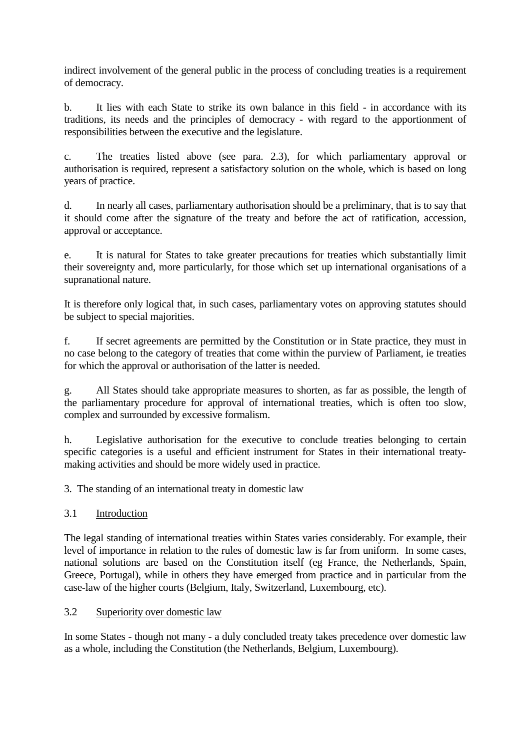indirect involvement of the general public in the process of concluding treaties is a requirement of democracy.

b. It lies with each State to strike its own balance in this field - in accordance with its traditions, its needs and the principles of democracy - with regard to the apportionment of responsibilities between the executive and the legislature.

c. The treaties listed above (see para. 2.3), for which parliamentary approval or authorisation is required, represent a satisfactory solution on the whole, which is based on long years of practice.

d. In nearly all cases, parliamentary authorisation should be a preliminary, that is to say that it should come after the signature of the treaty and before the act of ratification, accession, approval or acceptance.

e. It is natural for States to take greater precautions for treaties which substantially limit their sovereignty and, more particularly, for those which set up international organisations of a supranational nature.

It is therefore only logical that, in such cases, parliamentary votes on approving statutes should be subject to special majorities.

f. If secret agreements are permitted by the Constitution or in State practice, they must in no case belong to the category of treaties that come within the purview of Parliament, ie treaties for which the approval or authorisation of the latter is needed.

g. All States should take appropriate measures to shorten, as far as possible, the length of the parliamentary procedure for approval of international treaties, which is often too slow, complex and surrounded by excessive formalism.

h. Legislative authorisation for the executive to conclude treaties belonging to certain specific categories is a useful and efficient instrument for States in their international treatymaking activities and should be more widely used in practice.

3. The standing of an international treaty in domestic law

# 3.1 Introduction

The legal standing of international treaties within States varies considerably. For example, their level of importance in relation to the rules of domestic law is far from uniform. In some cases, national solutions are based on the Constitution itself (eg France, the Netherlands, Spain, Greece, Portugal), while in others they have emerged from practice and in particular from the case-law of the higher courts (Belgium, Italy, Switzerland, Luxembourg, etc).

#### 3.2 Superiority over domestic law

In some States - though not many - a duly concluded treaty takes precedence over domestic law as a whole, including the Constitution (the Netherlands, Belgium, Luxembourg).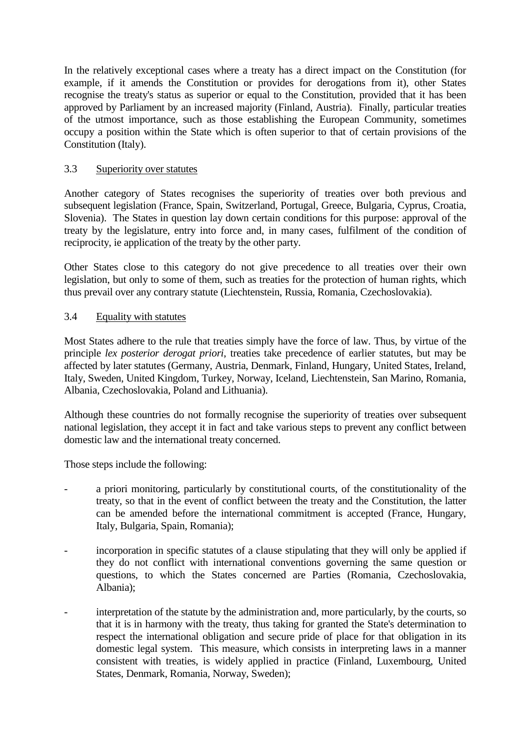In the relatively exceptional cases where a treaty has a direct impact on the Constitution (for example, if it amends the Constitution or provides for derogations from it), other States recognise the treaty's status as superior or equal to the Constitution, provided that it has been approved by Parliament by an increased majority (Finland, Austria). Finally, particular treaties of the utmost importance, such as those establishing the European Community, sometimes occupy a position within the State which is often superior to that of certain provisions of the Constitution (Italy).

#### 3.3 Superiority over statutes

Another category of States recognises the superiority of treaties over both previous and subsequent legislation (France, Spain, Switzerland, Portugal, Greece, Bulgaria, Cyprus, Croatia, Slovenia). The States in question lay down certain conditions for this purpose: approval of the treaty by the legislature, entry into force and, in many cases, fulfilment of the condition of reciprocity, ie application of the treaty by the other party.

Other States close to this category do not give precedence to all treaties over their own legislation, but only to some of them, such as treaties for the protection of human rights, which thus prevail over any contrary statute (Liechtenstein, Russia, Romania, Czechoslovakia).

#### 3.4 Equality with statutes

Most States adhere to the rule that treaties simply have the force of law. Thus, by virtue of the principle *lex posterior derogat priori*, treaties take precedence of earlier statutes, but may be affected by later statutes (Germany, Austria, Denmark, Finland, Hungary, United States, Ireland, Italy, Sweden, United Kingdom, Turkey, Norway, Iceland, Liechtenstein, San Marino, Romania, Albania, Czechoslovakia, Poland and Lithuania).

Although these countries do not formally recognise the superiority of treaties over subsequent national legislation, they accept it in fact and take various steps to prevent any conflict between domestic law and the international treaty concerned.

Those steps include the following:

- a priori monitoring, particularly by constitutional courts, of the constitutionality of the treaty, so that in the event of conflict between the treaty and the Constitution, the latter can be amended before the international commitment is accepted (France, Hungary, Italy, Bulgaria, Spain, Romania);
- incorporation in specific statutes of a clause stipulating that they will only be applied if they do not conflict with international conventions governing the same question or questions, to which the States concerned are Parties (Romania, Czechoslovakia, Albania);
- interpretation of the statute by the administration and, more particularly, by the courts, so that it is in harmony with the treaty, thus taking for granted the State's determination to respect the international obligation and secure pride of place for that obligation in its domestic legal system. This measure, which consists in interpreting laws in a manner consistent with treaties, is widely applied in practice (Finland, Luxembourg, United States, Denmark, Romania, Norway, Sweden);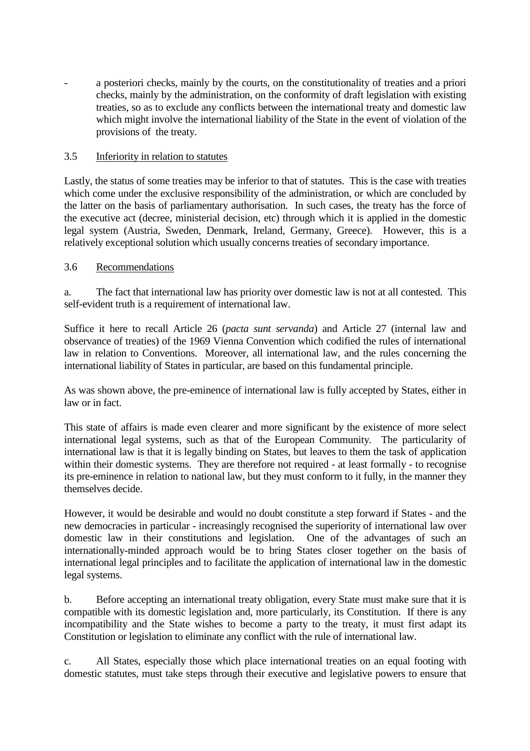a posteriori checks, mainly by the courts, on the constitutionality of treaties and a priori checks, mainly by the administration, on the conformity of draft legislation with existing treaties, so as to exclude any conflicts between the international treaty and domestic law which might involve the international liability of the State in the event of violation of the provisions of the treaty.

#### 3.5 Inferiority in relation to statutes

Lastly, the status of some treaties may be inferior to that of statutes. This is the case with treaties which come under the exclusive responsibility of the administration, or which are concluded by the latter on the basis of parliamentary authorisation. In such cases, the treaty has the force of the executive act (decree, ministerial decision, etc) through which it is applied in the domestic legal system (Austria, Sweden, Denmark, Ireland, Germany, Greece). However, this is a relatively exceptional solution which usually concerns treaties of secondary importance.

#### 3.6 Recommendations

a. The fact that international law has priority over domestic law is not at all contested. This self-evident truth is a requirement of international law.

Suffice it here to recall Article 26 (*pacta sunt servanda*) and Article 27 (internal law and observance of treaties) of the 1969 Vienna Convention which codified the rules of international law in relation to Conventions. Moreover, all international law, and the rules concerning the international liability of States in particular, are based on this fundamental principle.

As was shown above, the pre-eminence of international law is fully accepted by States, either in law or in fact.

This state of affairs is made even clearer and more significant by the existence of more select international legal systems, such as that of the European Community. The particularity of international law is that it is legally binding on States, but leaves to them the task of application within their domestic systems. They are therefore not required - at least formally - to recognise its pre-eminence in relation to national law, but they must conform to it fully, in the manner they themselves decide.

However, it would be desirable and would no doubt constitute a step forward if States - and the new democracies in particular - increasingly recognised the superiority of international law over domestic law in their constitutions and legislation. One of the advantages of such an internationally-minded approach would be to bring States closer together on the basis of international legal principles and to facilitate the application of international law in the domestic legal systems.

b. Before accepting an international treaty obligation, every State must make sure that it is compatible with its domestic legislation and, more particularly, its Constitution. If there is any incompatibility and the State wishes to become a party to the treaty, it must first adapt its Constitution or legislation to eliminate any conflict with the rule of international law.

c. All States, especially those which place international treaties on an equal footing with domestic statutes, must take steps through their executive and legislative powers to ensure that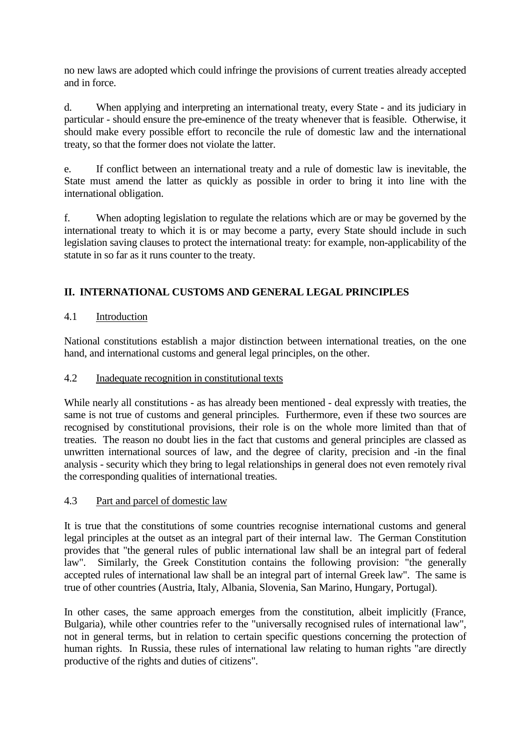no new laws are adopted which could infringe the provisions of current treaties already accepted and in force.

d. When applying and interpreting an international treaty, every State - and its judiciary in particular - should ensure the pre-eminence of the treaty whenever that is feasible. Otherwise, it should make every possible effort to reconcile the rule of domestic law and the international treaty, so that the former does not violate the latter.

e. If conflict between an international treaty and a rule of domestic law is inevitable, the State must amend the latter as quickly as possible in order to bring it into line with the international obligation.

f. When adopting legislation to regulate the relations which are or may be governed by the international treaty to which it is or may become a party, every State should include in such legislation saving clauses to protect the international treaty: for example, non-applicability of the statute in so far as it runs counter to the treaty.

## **II. INTERNATIONAL CUSTOMS AND GENERAL LEGAL PRINCIPLES**

#### 4.1 Introduction

National constitutions establish a major distinction between international treaties, on the one hand, and international customs and general legal principles, on the other.

#### 4.2 Inadequate recognition in constitutional texts

While nearly all constitutions - as has already been mentioned - deal expressly with treaties, the same is not true of customs and general principles. Furthermore, even if these two sources are recognised by constitutional provisions, their role is on the whole more limited than that of treaties. The reason no doubt lies in the fact that customs and general principles are classed as unwritten international sources of law, and the degree of clarity, precision and -in the final analysis - security which they bring to legal relationships in general does not even remotely rival the corresponding qualities of international treaties.

#### 4.3 Part and parcel of domestic law

It is true that the constitutions of some countries recognise international customs and general legal principles at the outset as an integral part of their internal law. The German Constitution provides that "the general rules of public international law shall be an integral part of federal law". Similarly, the Greek Constitution contains the following provision: "the generally accepted rules of international law shall be an integral part of internal Greek law". The same is true of other countries (Austria, Italy, Albania, Slovenia, San Marino, Hungary, Portugal).

In other cases, the same approach emerges from the constitution, albeit implicitly (France, Bulgaria), while other countries refer to the "universally recognised rules of international law", not in general terms, but in relation to certain specific questions concerning the protection of human rights. In Russia, these rules of international law relating to human rights "are directly productive of the rights and duties of citizens".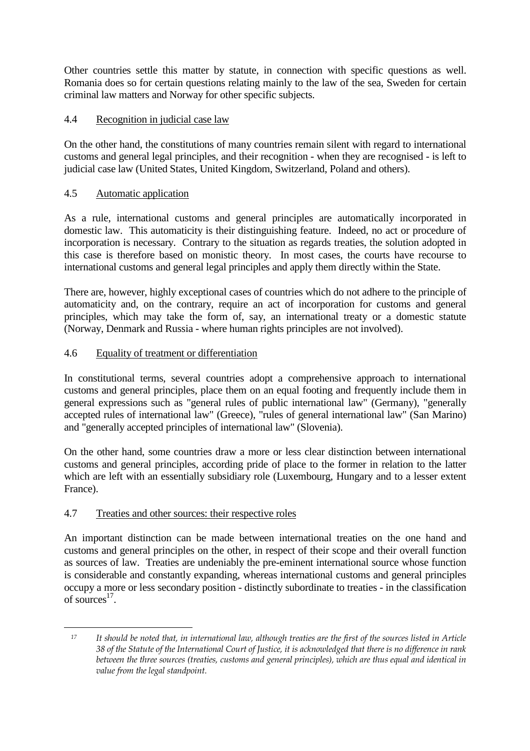Other countries settle this matter by statute, in connection with specific questions as well. Romania does so for certain questions relating mainly to the law of the sea, Sweden for certain criminal law matters and Norway for other specific subjects.

## 4.4 Recognition in judicial case law

On the other hand, the constitutions of many countries remain silent with regard to international customs and general legal principles, and their recognition - when they are recognised - is left to judicial case law (United States, United Kingdom, Switzerland, Poland and others).

## 4.5 Automatic application

As a rule, international customs and general principles are automatically incorporated in domestic law. This automaticity is their distinguishing feature. Indeed, no act or procedure of incorporation is necessary. Contrary to the situation as regards treaties, the solution adopted in this case is therefore based on monistic theory. In most cases, the courts have recourse to international customs and general legal principles and apply them directly within the State.

There are, however, highly exceptional cases of countries which do not adhere to the principle of automaticity and, on the contrary, require an act of incorporation for customs and general principles, which may take the form of, say, an international treaty or a domestic statute (Norway, Denmark and Russia - where human rights principles are not involved).

## 4.6 Equality of treatment or differentiation

In constitutional terms, several countries adopt a comprehensive approach to international customs and general principles, place them on an equal footing and frequently include them in general expressions such as "general rules of public international law" (Germany), "generally accepted rules of international law" (Greece), "rules of general international law" (San Marino) and "generally accepted principles of international law" (Slovenia).

On the other hand, some countries draw a more or less clear distinction between international customs and general principles, according pride of place to the former in relation to the latter which are left with an essentially subsidiary role (Luxembourg, Hungary and to a lesser extent France).

# 4.7 Treaties and other sources: their respective roles

An important distinction can be made between international treaties on the one hand and customs and general principles on the other, in respect of their scope and their overall function as sources of law. Treaties are undeniably the pre-eminent international source whose function is considerable and constantly expanding, whereas international customs and general principles occupy a more or less secondary position - distinctly subordinate to treaties - in the classification of sources $17$ .

 $\overline{a}$ <sup>17</sup> It should be noted that, in international law, although treaties are the first of the sources listed in Article 38 of the Statute of the International Court of Justice, it is acknowledged that there is no difference in rank between the three sources (treaties, customs and general principles), which are thus equal and identical in value from the legal standpoint.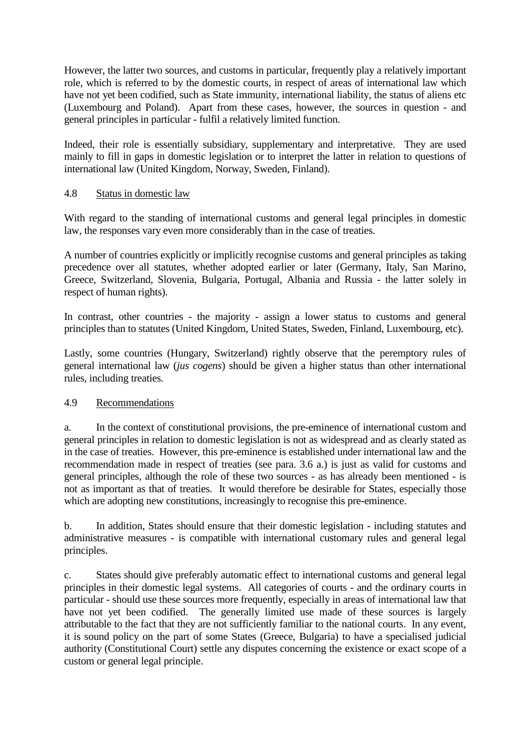However, the latter two sources, and customs in particular, frequently play a relatively important role, which is referred to by the domestic courts, in respect of areas of international law which have not yet been codified, such as State immunity, international liability, the status of aliens etc (Luxembourg and Poland). Apart from these cases, however, the sources in question - and general principles in particular - fulfil a relatively limited function.

Indeed, their role is essentially subsidiary, supplementary and interpretative. They are used mainly to fill in gaps in domestic legislation or to interpret the latter in relation to questions of international law (United Kingdom, Norway, Sweden, Finland).

#### 4.8 Status in domestic law

With regard to the standing of international customs and general legal principles in domestic law, the responses vary even more considerably than in the case of treaties.

A number of countries explicitly or implicitly recognise customs and general principles as taking precedence over all statutes, whether adopted earlier or later (Germany, Italy, San Marino, Greece, Switzerland, Slovenia, Bulgaria, Portugal, Albania and Russia - the latter solely in respect of human rights).

In contrast, other countries - the majority - assign a lower status to customs and general principles than to statutes (United Kingdom, United States, Sweden, Finland, Luxembourg, etc).

Lastly, some countries (Hungary, Switzerland) rightly observe that the peremptory rules of general international law (*jus cogens*) should be given a higher status than other international rules, including treaties.

#### 4.9 Recommendations

a. In the context of constitutional provisions, the pre-eminence of international custom and general principles in relation to domestic legislation is not as widespread and as clearly stated as in the case of treaties. However, this pre-eminence is established under international law and the recommendation made in respect of treaties (see para. 3.6 a.) is just as valid for customs and general principles, although the role of these two sources - as has already been mentioned - is not as important as that of treaties. It would therefore be desirable for States, especially those which are adopting new constitutions, increasingly to recognise this pre-eminence.

b. In addition, States should ensure that their domestic legislation - including statutes and administrative measures - is compatible with international customary rules and general legal principles.

c. States should give preferably automatic effect to international customs and general legal principles in their domestic legal systems. All categories of courts - and the ordinary courts in particular - should use these sources more frequently, especially in areas of international law that have not yet been codified. The generally limited use made of these sources is largely attributable to the fact that they are not sufficiently familiar to the national courts. In any event, it is sound policy on the part of some States (Greece, Bulgaria) to have a specialised judicial authority (Constitutional Court) settle any disputes concerning the existence or exact scope of a custom or general legal principle.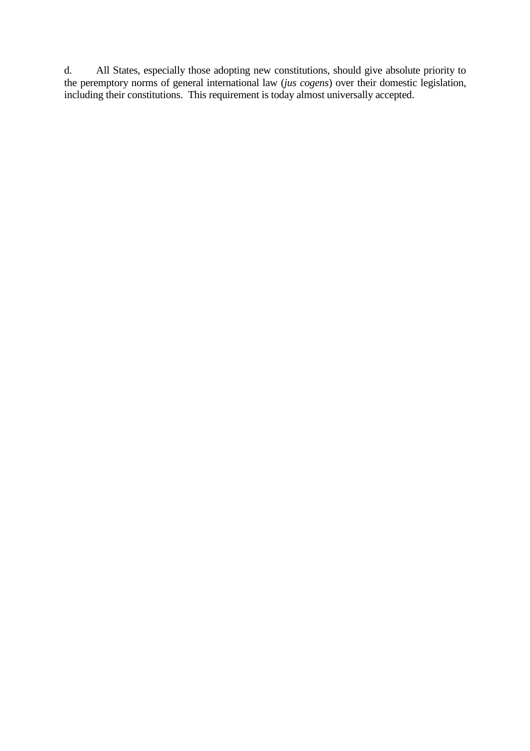d. All States, especially those adopting new constitutions, should give absolute priority to the peremptory norms of general international law (*jus cogens*) over their domestic legislation, including their constitutions. This requirement is today almost universally accepted.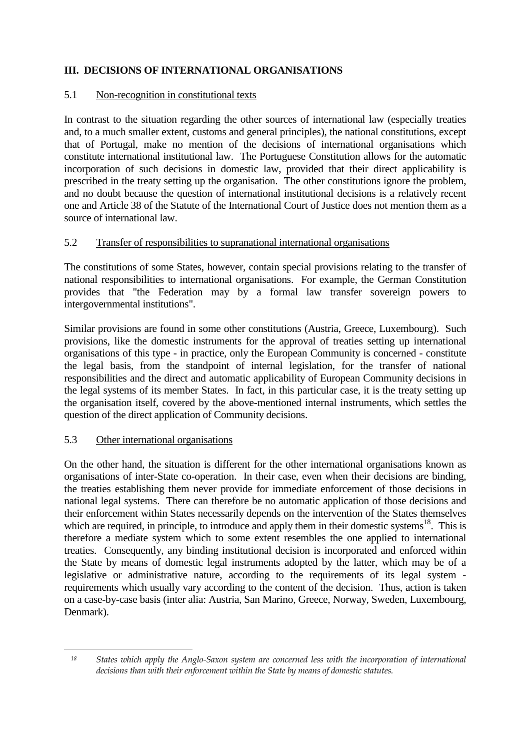# **III. DECISIONS OF INTERNATIONAL ORGANISATIONS**

#### 5.1 Non-recognition in constitutional texts

In contrast to the situation regarding the other sources of international law (especially treaties and, to a much smaller extent, customs and general principles), the national constitutions, except that of Portugal, make no mention of the decisions of international organisations which constitute international institutional law. The Portuguese Constitution allows for the automatic incorporation of such decisions in domestic law, provided that their direct applicability is prescribed in the treaty setting up the organisation. The other constitutions ignore the problem, and no doubt because the question of international institutional decisions is a relatively recent one and Article 38 of the Statute of the International Court of Justice does not mention them as a source of international law.

## 5.2 Transfer of responsibilities to supranational international organisations

The constitutions of some States, however, contain special provisions relating to the transfer of national responsibilities to international organisations. For example, the German Constitution provides that "the Federation may by a formal law transfer sovereign powers to intergovernmental institutions".

Similar provisions are found in some other constitutions (Austria, Greece, Luxembourg). Such provisions, like the domestic instruments for the approval of treaties setting up international organisations of this type - in practice, only the European Community is concerned - constitute the legal basis, from the standpoint of internal legislation, for the transfer of national responsibilities and the direct and automatic applicability of European Community decisions in the legal systems of its member States. In fact, in this particular case, it is the treaty setting up the organisation itself, covered by the above-mentioned internal instruments, which settles the question of the direct application of Community decisions.

#### 5.3 Other international organisations

 $\overline{a}$ 

On the other hand, the situation is different for the other international organisations known as organisations of inter-State co-operation. In their case, even when their decisions are binding, the treaties establishing them never provide for immediate enforcement of those decisions in national legal systems. There can therefore be no automatic application of those decisions and their enforcement within States necessarily depends on the intervention of the States themselves which are required, in principle, to introduce and apply them in their domestic systems<sup>18</sup>. This is therefore a mediate system which to some extent resembles the one applied to international treaties. Consequently, any binding institutional decision is incorporated and enforced within the State by means of domestic legal instruments adopted by the latter, which may be of a legislative or administrative nature, according to the requirements of its legal system requirements which usually vary according to the content of the decision. Thus, action is taken on a case-by-case basis (inter alia: Austria, San Marino, Greece, Norway, Sweden, Luxembourg, Denmark).

<sup>18</sup> States which apply the Anglo-Saxon system are concerned less with the incorporation of international decisions than with their enforcement within the State by means of domestic statutes.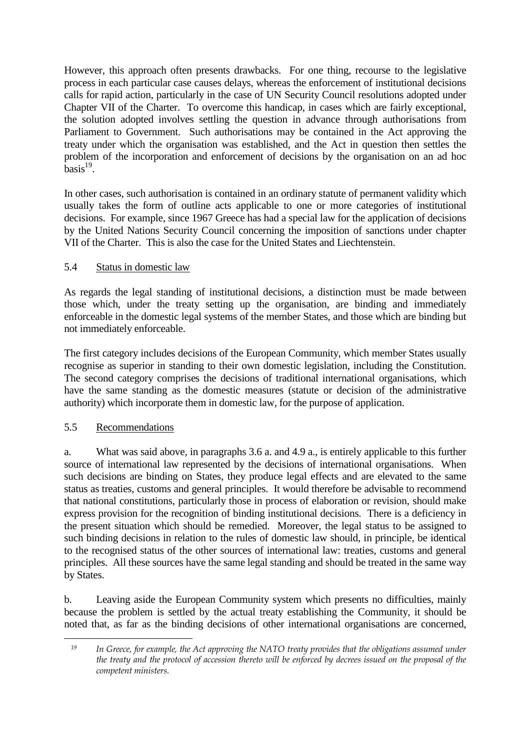However, this approach often presents drawbacks. For one thing, recourse to the legislative process in each particular case causes delays, whereas the enforcement of institutional decisions calls for rapid action, particularly in the case of UN Security Council resolutions adopted under Chapter VII of the Charter. To overcome this handicap, in cases which are fairly exceptional, the solution adopted involves settling the question in advance through authorisations from Parliament to Government. Such authorisations may be contained in the Act approving the treaty under which the organisation was established, and the Act in question then settles the problem of the incorporation and enforcement of decisions by the organisation on an ad hoc  $basis<sup>19</sup>$ .

In other cases, such authorisation is contained in an ordinary statute of permanent validity which usually takes the form of outline acts applicable to one or more categories of institutional decisions. For example, since 1967 Greece has had a special law for the application of decisions by the United Nations Security Council concerning the imposition of sanctions under chapter VII of the Charter. This is also the case for the United States and Liechtenstein.

## 5.4 Status in domestic law

As regards the legal standing of institutional decisions, a distinction must be made between those which, under the treaty setting up the organisation, are binding and immediately enforceable in the domestic legal systems of the member States, and those which are binding but not immediately enforceable.

The first category includes decisions of the European Community, which member States usually recognise as superior in standing to their own domestic legislation, including the Constitution. The second category comprises the decisions of traditional international organisations, which have the same standing as the domestic measures (statute or decision of the administrative authority) which incorporate them in domestic law, for the purpose of application.

#### 5.5 Recommendations

 $\overline{a}$ 

a. What was said above, in paragraphs 3.6 a. and 4.9 a., is entirely applicable to this further source of international law represented by the decisions of international organisations. When such decisions are binding on States, they produce legal effects and are elevated to the same status as treaties, customs and general principles. It would therefore be advisable to recommend that national constitutions, particularly those in process of elaboration or revision, should make express provision for the recognition of binding institutional decisions. There is a deficiency in the present situation which should be remedied. Moreover, the legal status to be assigned to such binding decisions in relation to the rules of domestic law should, in principle, be identical to the recognised status of the other sources of international law: treaties, customs and general principles. All these sources have the same legal standing and should be treated in the same way by States.

b. Leaving aside the European Community system which presents no difficulties, mainly because the problem is settled by the actual treaty establishing the Community, it should be noted that, as far as the binding decisions of other international organisations are concerned,

 $19$  In Greece, for example, the Act approving the NATO treaty provides that the obligations assumed under the treaty and the protocol of accession thereto will be enforced by decrees issued on the proposal of the competent ministers.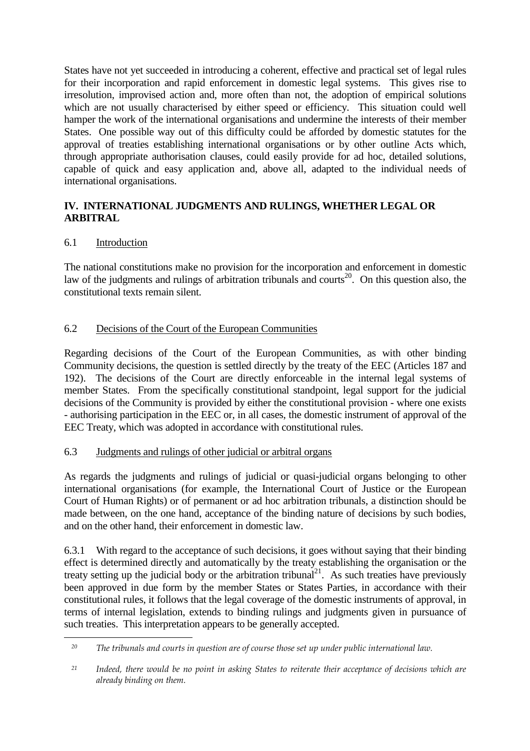States have not yet succeeded in introducing a coherent, effective and practical set of legal rules for their incorporation and rapid enforcement in domestic legal systems. This gives rise to irresolution, improvised action and, more often than not, the adoption of empirical solutions which are not usually characterised by either speed or efficiency. This situation could well hamper the work of the international organisations and undermine the interests of their member States. One possible way out of this difficulty could be afforded by domestic statutes for the approval of treaties establishing international organisations or by other outline Acts which, through appropriate authorisation clauses, could easily provide for ad hoc, detailed solutions, capable of quick and easy application and, above all, adapted to the individual needs of international organisations.

## **IV. INTERNATIONAL JUDGMENTS AND RULINGS, WHETHER LEGAL OR ARBITRAL**

## 6.1 Introduction

 $\overline{a}$ 

The national constitutions make no provision for the incorporation and enforcement in domestic law of the judgments and rulings of arbitration tribunals and courts<sup>20</sup>. On this question also, the constitutional texts remain silent.

## 6.2 Decisions of the Court of the European Communities

Regarding decisions of the Court of the European Communities, as with other binding Community decisions, the question is settled directly by the treaty of the EEC (Articles 187 and 192). The decisions of the Court are directly enforceable in the internal legal systems of member States. From the specifically constitutional standpoint, legal support for the judicial decisions of the Community is provided by either the constitutional provision - where one exists - authorising participation in the EEC or, in all cases, the domestic instrument of approval of the EEC Treaty, which was adopted in accordance with constitutional rules.

#### 6.3 Judgments and rulings of other judicial or arbitral organs

As regards the judgments and rulings of judicial or quasi-judicial organs belonging to other international organisations (for example, the International Court of Justice or the European Court of Human Rights) or of permanent or ad hoc arbitration tribunals, a distinction should be made between, on the one hand, acceptance of the binding nature of decisions by such bodies, and on the other hand, their enforcement in domestic law.

6.3.1 With regard to the acceptance of such decisions, it goes without saying that their binding effect is determined directly and automatically by the treaty establishing the organisation or the treaty setting up the judicial body or the arbitration tribunal<sup>21</sup>. As such treaties have previously been approved in due form by the member States or States Parties, in accordance with their constitutional rules, it follows that the legal coverage of the domestic instruments of approval, in terms of internal legislation, extends to binding rulings and judgments given in pursuance of such treaties. This interpretation appears to be generally accepted.

<sup>&</sup>lt;sup>20</sup> The tribunals and courts in question are of course those set up under public international law.

<sup>&</sup>lt;sup>21</sup> Indeed, there would be no point in asking States to reiterate their acceptance of decisions which are already binding on them.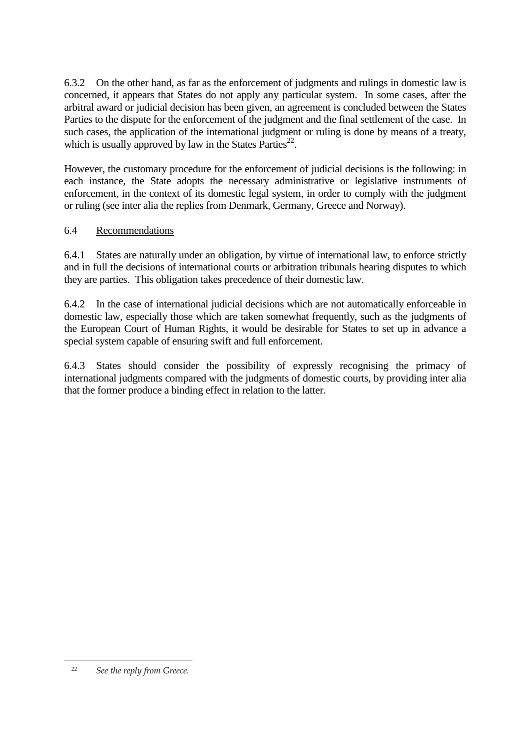6.3.2 On the other hand, as far as the enforcement of judgments and rulings in domestic law is concerned, it appears that States do not apply any particular system. In some cases, after the arbitral award or judicial decision has been given, an agreement is concluded between the States Parties to the dispute for the enforcement of the judgment and the final settlement of the case. In such cases, the application of the international judgment or ruling is done by means of a treaty, which is usually approved by law in the States Parties $^{22}$ .

However, the customary procedure for the enforcement of judicial decisions is the following: in each instance, the State adopts the necessary administrative or legislative instruments of enforcement, in the context of its domestic legal system, in order to comply with the judgment or ruling (see inter alia the replies from Denmark, Germany, Greece and Norway).

#### 6.4 Recommendations

6.4.1 States are naturally under an obligation, by virtue of international law, to enforce strictly and in full the decisions of international courts or arbitration tribunals hearing disputes to which they are parties. This obligation takes precedence of their domestic law.

6.4.2 In the case of international judicial decisions which are not automatically enforceable in domestic law, especially those which are taken somewhat frequently, such as the judgments of the European Court of Human Rights, it would be desirable for States to set up in advance a special system capable of ensuring swift and full enforcement.

6.4.3 States should consider the possibility of expressly recognising the primacy of international judgments compared with the judgments of domestic courts, by providing inter alia that the former produce a binding effect in relation to the latter.

 $\overline{a}$ 

 <sup>22</sup> See the reply from Greece.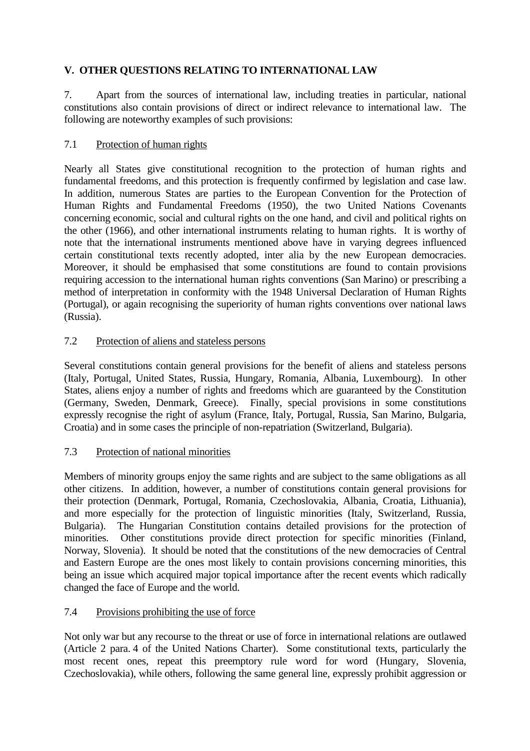# **V. OTHER QUESTIONS RELATING TO INTERNATIONAL LAW**

7. Apart from the sources of international law, including treaties in particular, national constitutions also contain provisions of direct or indirect relevance to international law. The following are noteworthy examples of such provisions:

## 7.1 Protection of human rights

Nearly all States give constitutional recognition to the protection of human rights and fundamental freedoms, and this protection is frequently confirmed by legislation and case law. In addition, numerous States are parties to the European Convention for the Protection of Human Rights and Fundamental Freedoms (1950), the two United Nations Covenants concerning economic, social and cultural rights on the one hand, and civil and political rights on the other (1966), and other international instruments relating to human rights. It is worthy of note that the international instruments mentioned above have in varying degrees influenced certain constitutional texts recently adopted, inter alia by the new European democracies. Moreover, it should be emphasised that some constitutions are found to contain provisions requiring accession to the international human rights conventions (San Marino) or prescribing a method of interpretation in conformity with the 1948 Universal Declaration of Human Rights (Portugal), or again recognising the superiority of human rights conventions over national laws (Russia).

## 7.2 Protection of aliens and stateless persons

Several constitutions contain general provisions for the benefit of aliens and stateless persons (Italy, Portugal, United States, Russia, Hungary, Romania, Albania, Luxembourg). In other States, aliens enjoy a number of rights and freedoms which are guaranteed by the Constitution (Germany, Sweden, Denmark, Greece). Finally, special provisions in some constitutions expressly recognise the right of asylum (France, Italy, Portugal, Russia, San Marino, Bulgaria, Croatia) and in some cases the principle of non-repatriation (Switzerland, Bulgaria).

# 7.3 Protection of national minorities

Members of minority groups enjoy the same rights and are subject to the same obligations as all other citizens. In addition, however, a number of constitutions contain general provisions for their protection (Denmark, Portugal, Romania, Czechoslovakia, Albania, Croatia, Lithuania), and more especially for the protection of linguistic minorities (Italy, Switzerland, Russia, Bulgaria). The Hungarian Constitution contains detailed provisions for the protection of minorities. Other constitutions provide direct protection for specific minorities (Finland, Norway, Slovenia). It should be noted that the constitutions of the new democracies of Central and Eastern Europe are the ones most likely to contain provisions concerning minorities, this being an issue which acquired major topical importance after the recent events which radically changed the face of Europe and the world.

# 7.4 Provisions prohibiting the use of force

Not only war but any recourse to the threat or use of force in international relations are outlawed (Article 2 para. 4 of the United Nations Charter). Some constitutional texts, particularly the most recent ones, repeat this preemptory rule word for word (Hungary, Slovenia, Czechoslovakia), while others, following the same general line, expressly prohibit aggression or